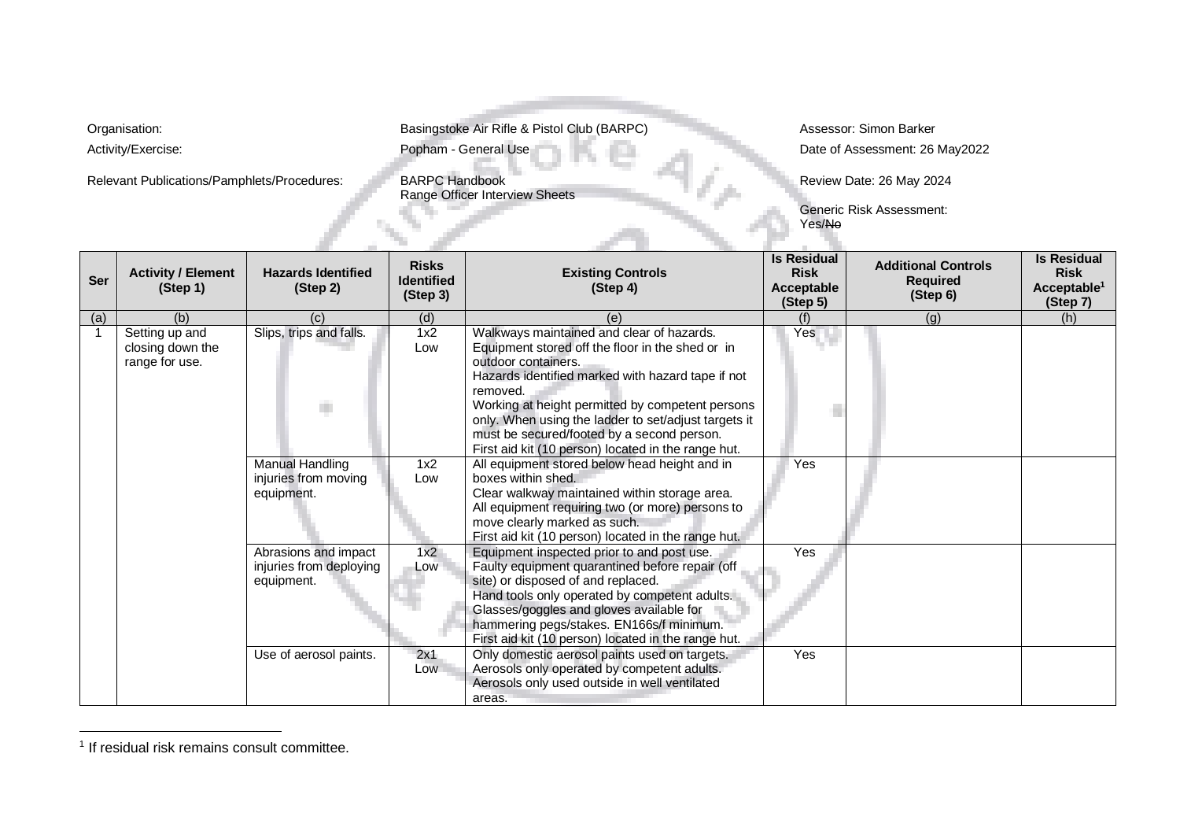Relevant Publications/Pamphlets/Procedures: BARPC Handbook

Organisation: **Basingstoke Air Rifle & Pistol Club (BARPC)** Assessor: Simon Barker

Activity/Exercise: **Exercise:** Popham - General Use Date of Assessment: 26 May2022

**Range Officer Interview Sheets** 

Review Date: 26 May 2024

Generic Risk Assessment: Yes/No

97,2

|                |                                                      |                                                               |                                               |                                                                                                                                                                                                                                                                                                                                                                                                        | Yes/No                                                             | טוופווני וואט שפטען אוואווס                               |                                                                          |
|----------------|------------------------------------------------------|---------------------------------------------------------------|-----------------------------------------------|--------------------------------------------------------------------------------------------------------------------------------------------------------------------------------------------------------------------------------------------------------------------------------------------------------------------------------------------------------------------------------------------------------|--------------------------------------------------------------------|-----------------------------------------------------------|--------------------------------------------------------------------------|
| Ser            | <b>Activity / Element</b><br>(Step 1)                | <b>Hazards Identified</b><br>(Step 2)                         | <b>Risks</b><br><b>Identified</b><br>(Step 3) | <b>Existing Controls</b><br>(Step 4)                                                                                                                                                                                                                                                                                                                                                                   | <b>Is Residual</b><br><b>Risk</b><br><b>Acceptable</b><br>(Step 5) | <b>Additional Controls</b><br><b>Required</b><br>(Step 6) | <b>Is Residual</b><br><b>Risk</b><br>Acceptable <sup>1</sup><br>(Step 7) |
| (a)            | (b)                                                  | (c)                                                           | (d)                                           | (e)                                                                                                                                                                                                                                                                                                                                                                                                    | (f)                                                                | (g)                                                       | (h)                                                                      |
| $\overline{1}$ | Setting up and<br>closing down the<br>range for use. | Slips, trips and falls.<br>a.                                 | 1x2<br>Low                                    | Walkways maintained and clear of hazards.<br>Equipment stored off the floor in the shed or in<br>outdoor containers.<br>Hazards identified marked with hazard tape if not<br>removed.<br>Working at height permitted by competent persons<br>only. When using the ladder to set/adjust targets it<br>must be secured/footed by a second person.<br>First aid kit (10 person) located in the range hut. | Yes                                                                |                                                           |                                                                          |
|                |                                                      | <b>Manual Handling</b><br>injuries from moving<br>equipment.  | 1x2<br>Low                                    | All equipment stored below head height and in<br>boxes within shed.<br>Clear walkway maintained within storage area.<br>All equipment requiring two (or more) persons to<br>move clearly marked as such.<br>First aid kit (10 person) located in the range hut.                                                                                                                                        | Yes                                                                |                                                           |                                                                          |
|                |                                                      | Abrasions and impact<br>injuries from deploying<br>equipment. | 1x2<br>Low                                    | Equipment inspected prior to and post use.<br>Faulty equipment quarantined before repair (off<br>site) or disposed of and replaced.<br>Hand tools only operated by competent adults.<br>Glasses/goggles and gloves available for<br>hammering pegs/stakes. EN166s/f minimum.<br>First aid kit (10 person) located in the range hut.                                                                    | Yes                                                                |                                                           |                                                                          |
|                |                                                      | Use of aerosol paints.                                        | 2x1<br>Low                                    | Only domestic aerosol paints used on targets.<br>Aerosols only operated by competent adults.<br>Aerosols only used outside in well ventilated<br>areas.                                                                                                                                                                                                                                                | Yes                                                                |                                                           |                                                                          |

<sup>&</sup>lt;sup>1</sup> If residual risk remains consult committee.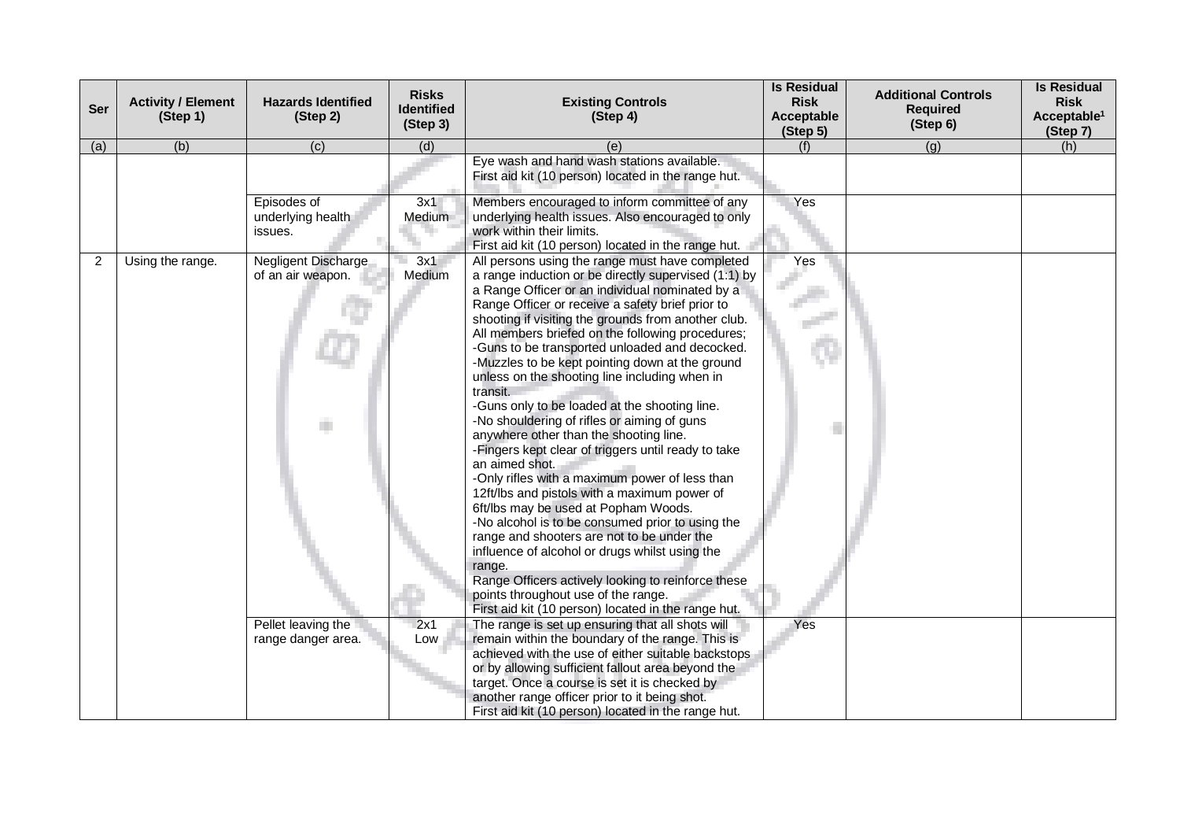| Ser | <b>Activity / Element</b><br>(Step 1) | <b>Hazards Identified</b><br>(Step 2)                                                | <b>Risks</b><br><b>Identified</b><br>(Step 3) | <b>Existing Controls</b><br>(Step 4)                                                                                                                                                                                                                                                                                                                                                                                                                                                                                                                                                                                                                                                                                                                                                                                                                                                                                                                                                                                                                                                                                                                                                                                                                                                                                                                                                                                                           | <b>Is Residual</b><br><b>Risk</b><br><b>Acceptable</b><br>(Step 5) | <b>Additional Controls</b><br><b>Required</b><br>(Step 6) | <b>Is Residual</b><br><b>Risk</b><br>Acceptable <sup>1</sup><br>(Step 7) |
|-----|---------------------------------------|--------------------------------------------------------------------------------------|-----------------------------------------------|------------------------------------------------------------------------------------------------------------------------------------------------------------------------------------------------------------------------------------------------------------------------------------------------------------------------------------------------------------------------------------------------------------------------------------------------------------------------------------------------------------------------------------------------------------------------------------------------------------------------------------------------------------------------------------------------------------------------------------------------------------------------------------------------------------------------------------------------------------------------------------------------------------------------------------------------------------------------------------------------------------------------------------------------------------------------------------------------------------------------------------------------------------------------------------------------------------------------------------------------------------------------------------------------------------------------------------------------------------------------------------------------------------------------------------------------|--------------------------------------------------------------------|-----------------------------------------------------------|--------------------------------------------------------------------------|
| (a) | (b)                                   | (c)                                                                                  | (d)                                           | (e)                                                                                                                                                                                                                                                                                                                                                                                                                                                                                                                                                                                                                                                                                                                                                                                                                                                                                                                                                                                                                                                                                                                                                                                                                                                                                                                                                                                                                                            | (f)                                                                | (q)                                                       | (h)                                                                      |
|     |                                       |                                                                                      |                                               | Eye wash and hand wash stations available.<br>First aid kit (10 person) located in the range hut.                                                                                                                                                                                                                                                                                                                                                                                                                                                                                                                                                                                                                                                                                                                                                                                                                                                                                                                                                                                                                                                                                                                                                                                                                                                                                                                                              |                                                                    |                                                           |                                                                          |
|     |                                       | Episodes of<br>underlying health<br>issues.                                          | 3x1<br>Medium                                 | Members encouraged to inform committee of any<br>underlying health issues. Also encouraged to only<br>work within their limits.<br>First aid kit (10 person) located in the range hut.                                                                                                                                                                                                                                                                                                                                                                                                                                                                                                                                                                                                                                                                                                                                                                                                                                                                                                                                                                                                                                                                                                                                                                                                                                                         | Yes                                                                |                                                           |                                                                          |
| 2   | Using the range.                      | Negligent Discharge<br>of an air weapon.<br>Pellet leaving the<br>range danger area. | 3x1<br>Medium<br>2x1<br>Low                   | All persons using the range must have completed<br>a range induction or be directly supervised (1:1) by<br>a Range Officer or an individual nominated by a<br>Range Officer or receive a safety brief prior to<br>shooting if visiting the grounds from another club.<br>All members briefed on the following procedures;<br>-Guns to be transported unloaded and decocked.<br>-Muzzles to be kept pointing down at the ground<br>unless on the shooting line including when in<br>transit.<br>-Guns only to be loaded at the shooting line.<br>-No shouldering of rifles or aiming of guns<br>anywhere other than the shooting line.<br>-Fingers kept clear of triggers until ready to take<br>an aimed shot.<br>-Only rifles with a maximum power of less than<br>12ft/lbs and pistols with a maximum power of<br>6ft/lbs may be used at Popham Woods.<br>-No alcohol is to be consumed prior to using the<br>range and shooters are not to be under the<br>influence of alcohol or drugs whilst using the<br>range.<br>Range Officers actively looking to reinforce these<br>points throughout use of the range.<br>First aid kit (10 person) located in the range hut.<br>The range is set up ensuring that all shots will<br>remain within the boundary of the range. This is<br>achieved with the use of either suitable backstops<br>or by allowing sufficient fallout area beyond the<br>target. Once a course is set it is checked by | Yes<br>Yes                                                         |                                                           |                                                                          |
|     |                                       |                                                                                      |                                               | another range officer prior to it being shot.<br>First aid kit (10 person) located in the range hut.                                                                                                                                                                                                                                                                                                                                                                                                                                                                                                                                                                                                                                                                                                                                                                                                                                                                                                                                                                                                                                                                                                                                                                                                                                                                                                                                           |                                                                    |                                                           |                                                                          |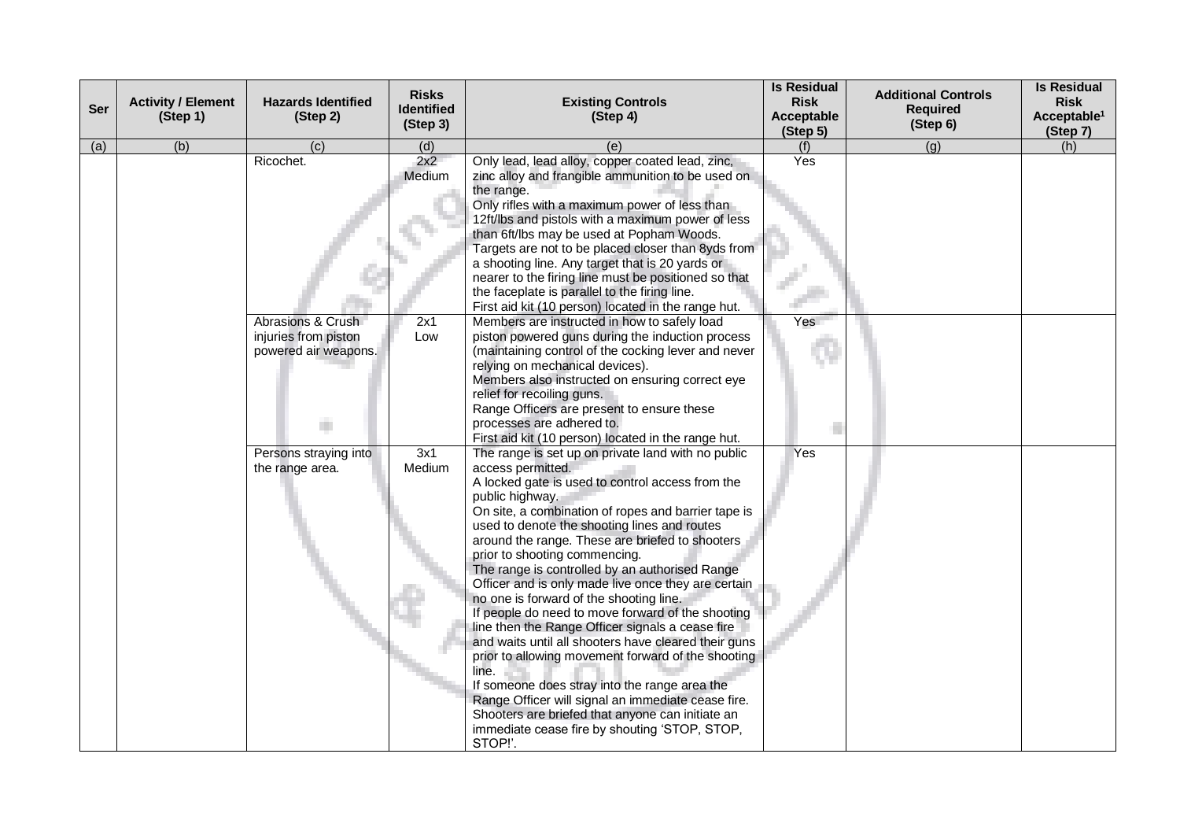| Ser | <b>Activity / Element</b><br>(Step 1) | <b>Hazards Identified</b><br>(Step 2)                                          | <b>Risks</b><br><b>Identified</b><br>(Step 3) | <b>Existing Controls</b><br>(Step 4)                                                                                                                                                                                                                                                                                                                                                                                                                                                                                                                                                                                                                                                                                                                                                                                                                                                                                                                                                                                                                                                   | <b>Is Residual</b><br><b>Risk</b><br>Acceptable<br>(Step 5) | <b>Additional Controls</b><br><b>Required</b><br>(Step 6) | <b>Is Residual</b><br><b>Risk</b><br>Acceptable <sup>1</sup><br>(Step 7) |
|-----|---------------------------------------|--------------------------------------------------------------------------------|-----------------------------------------------|----------------------------------------------------------------------------------------------------------------------------------------------------------------------------------------------------------------------------------------------------------------------------------------------------------------------------------------------------------------------------------------------------------------------------------------------------------------------------------------------------------------------------------------------------------------------------------------------------------------------------------------------------------------------------------------------------------------------------------------------------------------------------------------------------------------------------------------------------------------------------------------------------------------------------------------------------------------------------------------------------------------------------------------------------------------------------------------|-------------------------------------------------------------|-----------------------------------------------------------|--------------------------------------------------------------------------|
| (a) | (b)                                   | (c)                                                                            | (d)                                           | (e)                                                                                                                                                                                                                                                                                                                                                                                                                                                                                                                                                                                                                                                                                                                                                                                                                                                                                                                                                                                                                                                                                    | (f)                                                         | $\overline{(g)}$                                          | (h)                                                                      |
|     |                                       | Ricochet.<br>Abrasions & Crush<br>injuries from piston<br>powered air weapons. | 2x2<br>Medium<br>2x1<br>Low                   | Only lead, lead alloy, copper coated lead, zinc,<br>zinc alloy and frangible ammunition to be used on<br>the range.<br>Only rifles with a maximum power of less than<br>12ft/lbs and pistols with a maximum power of less<br>than 6ft/lbs may be used at Popham Woods.<br>Targets are not to be placed closer than 8yds from<br>a shooting line. Any target that is 20 yards or<br>nearer to the firing line must be positioned so that<br>the faceplate is parallel to the firing line.<br>First aid kit (10 person) located in the range hut.<br>Members are instructed in how to safely load<br>piston powered guns during the induction process<br>(maintaining control of the cocking lever and never<br>relying on mechanical devices).<br>Members also instructed on ensuring correct eye<br>relief for recoiling guns.                                                                                                                                                                                                                                                         | Yes<br>Yes                                                  |                                                           |                                                                          |
|     |                                       | Persons straying into<br>the range area.                                       | 3x1<br>Medium                                 | Range Officers are present to ensure these<br>processes are adhered to.<br>First aid kit (10 person) located in the range hut.<br>The range is set up on private land with no public<br>access permitted.<br>A locked gate is used to control access from the<br>public highway.<br>On site, a combination of ropes and barrier tape is<br>used to denote the shooting lines and routes<br>around the range. These are briefed to shooters<br>prior to shooting commencing.<br>The range is controlled by an authorised Range<br>Officer and is only made live once they are certain<br>no one is forward of the shooting line.<br>If people do need to move forward of the shooting<br>line then the Range Officer signals a cease fire<br>and waits until all shooters have cleared their guns<br>prior to allowing movement forward of the shooting<br>line.<br>If someone does stray into the range area the<br>Range Officer will signal an immediate cease fire.<br>Shooters are briefed that anyone can initiate an<br>immediate cease fire by shouting 'STOP, STOP,<br>STOP!'. | Yes                                                         |                                                           |                                                                          |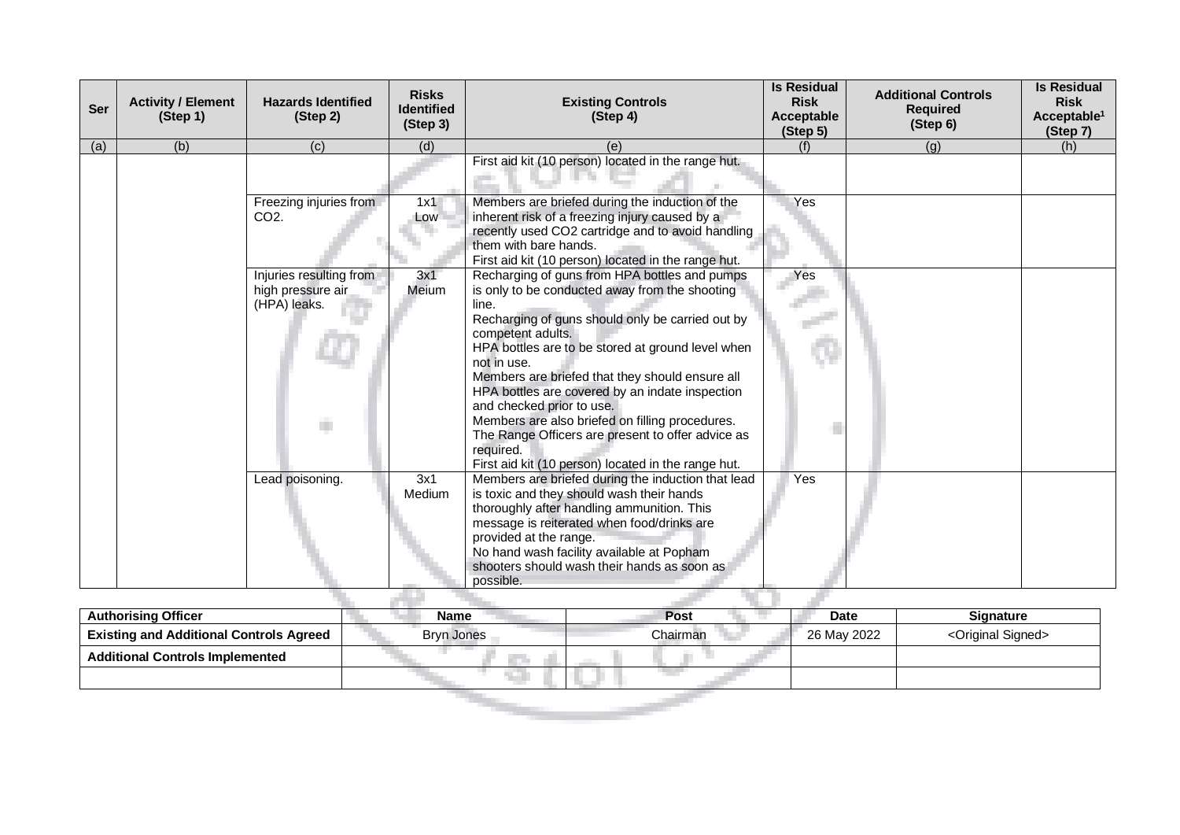| <b>Activity / Element</b><br>(Step 1) | <b>Hazards Identified</b><br>(Step 2)                             | <b>Risks</b><br><b>Identified</b><br>(Step 3) | <b>Existing Controls</b><br>(Step 4)                                                                                                                                                                                                                                                                                                                                                                                                                                                                          | <b>Is Residual</b><br><b>Risk</b><br><b>Acceptable</b><br>(Step 5) | <b>Additional Controls</b><br><b>Required</b><br>(Step 6) | <b>Is Residual</b><br><b>Risk</b><br>Acceptable <sup>1</sup><br>(Step 7) |
|---------------------------------------|-------------------------------------------------------------------|-----------------------------------------------|---------------------------------------------------------------------------------------------------------------------------------------------------------------------------------------------------------------------------------------------------------------------------------------------------------------------------------------------------------------------------------------------------------------------------------------------------------------------------------------------------------------|--------------------------------------------------------------------|-----------------------------------------------------------|--------------------------------------------------------------------------|
| (b)                                   | (c)                                                               | (d)                                           | (e)                                                                                                                                                                                                                                                                                                                                                                                                                                                                                                           | (f)                                                                | (q)                                                       | (h)                                                                      |
|                                       |                                                                   |                                               | First aid kit (10 person) located in the range hut.                                                                                                                                                                                                                                                                                                                                                                                                                                                           |                                                                    |                                                           |                                                                          |
|                                       | Freezing injuries from<br>CO <sub>2</sub> .                       | 1x1<br>Low                                    | Members are briefed during the induction of the<br>inherent risk of a freezing injury caused by a<br>recently used CO2 cartridge and to avoid handling<br>them with bare hands.<br>First aid kit (10 person) located in the range hut.                                                                                                                                                                                                                                                                        | Yes                                                                |                                                           |                                                                          |
|                                       | Injuries resulting from<br>high pressure air<br>(HPA) leaks.<br>m | 3x1<br>Meium                                  | Recharging of guns from HPA bottles and pumps<br>is only to be conducted away from the shooting<br>line.<br>Recharging of guns should only be carried out by<br>competent adults.<br>HPA bottles are to be stored at ground level when<br>not in use.<br>Members are briefed that they should ensure all<br>HPA bottles are covered by an indate inspection<br>and checked prior to use.<br>Members are also briefed on filling procedures.<br>The Range Officers are present to offer advice as<br>required. | Yes                                                                |                                                           |                                                                          |
|                                       | Lead poisoning.                                                   | 3x1<br>Medium                                 | Members are briefed during the induction that lead<br>is toxic and they should wash their hands<br>thoroughly after handling ammunition. This<br>message is reiterated when food/drinks are<br>provided at the range.<br>No hand wash facility available at Popham<br>shooters should wash their hands as soon as<br>possible.                                                                                                                                                                                | Yes                                                                |                                                           |                                                                          |
|                                       |                                                                   |                                               |                                                                                                                                                                                                                                                                                                                                                                                                                                                                                                               | First aid kit (10 person) located in the range hut.                |                                                           |                                                                          |

| <b>Authorising Officer</b>                     | Name              | Post     | <b>Date</b> | <b>Signature</b>                |
|------------------------------------------------|-------------------|----------|-------------|---------------------------------|
| <b>Existing and Additional Controls Agreed</b> | <b>Bryn Jones</b> | Chairman | 26 May 2022 | <original signed=""></original> |
| <b>Additional Controls Implemented</b>         |                   |          |             |                                 |
|                                                |                   |          |             |                                 |
|                                                |                   |          |             |                                 |